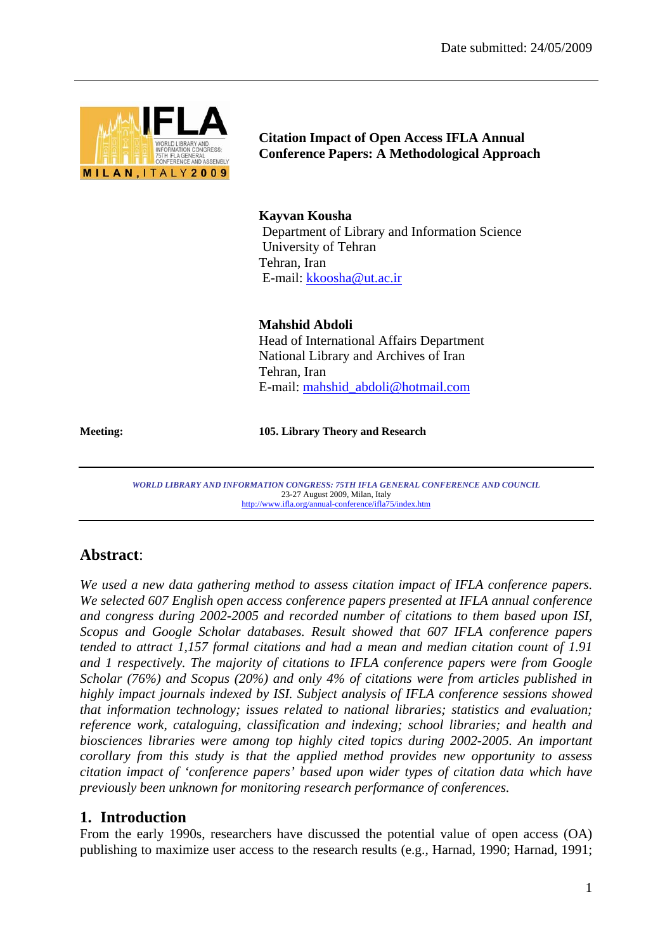

**Citation Impact of Open Access IFLA Annual Conference Papers: A Methodological Approach** 

**Kayvan Kousha** 

Department of Library and Information Science University of Tehran Tehran, Iran E-mail: kkoosha@ut.ac.ir

**Mahshid Abdoli**  Head of International Affairs Department National Library and Archives of Iran Tehran, Iran E-mail: mahshid\_abdoli@hotmail.com

**Meeting: 105. Library Theory and Research** 

*WORLD LIBRARY AND INFORMATION CONGRESS: 75TH IFLA GENERAL CONFERENCE AND COUNCIL*  23-27 August 2009, Milan, Italy http://www.ifla.org/annual-conference/ifla75/index.htm

# **Abstract**:

*We used a new data gathering method to assess citation impact of IFLA conference papers. We selected 607 English open access conference papers presented at IFLA annual conference and congress during 2002-2005 and recorded number of citations to them based upon ISI, Scopus and Google Scholar databases. Result showed that 607 IFLA conference papers tended to attract 1,157 formal citations and had a mean and median citation count of 1.91 and 1 respectively. The majority of citations to IFLA conference papers were from Google Scholar (76%) and Scopus (20%) and only 4% of citations were from articles published in highly impact journals indexed by ISI. Subject analysis of IFLA conference sessions showed that information technology; issues related to national libraries; statistics and evaluation; reference work, cataloguing, classification and indexing; school libraries; and health and biosciences libraries were among top highly cited topics during 2002-2005. An important corollary from this study is that the applied method provides new opportunity to assess citation impact of 'conference papers' based upon wider types of citation data which have previously been unknown for monitoring research performance of conferences.* 

# **1. Introduction**

From the early 1990s, researchers have discussed the potential value of open access (OA) publishing to maximize user access to the research results (e.g., Harnad, 1990; Harnad, 1991;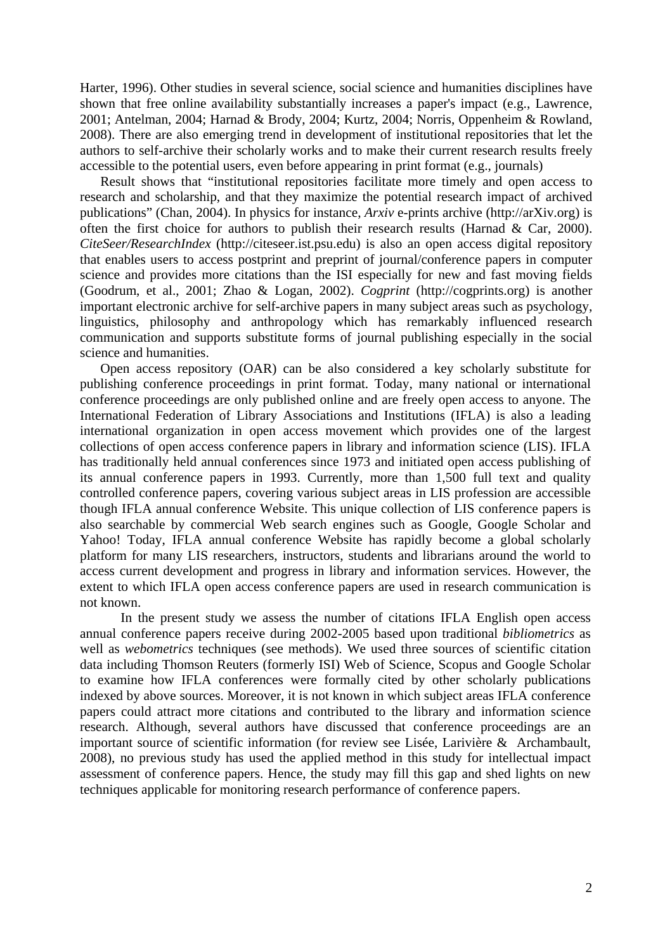Harter, 1996). Other studies in several science, social science and humanities disciplines have shown that free online availability substantially increases a paper's impact (e.g., Lawrence, 2001; Antelman, 2004; Harnad & Brody, 2004; Kurtz, 2004; Norris, Oppenheim & Rowland, 2008). There are also emerging trend in development of institutional repositories that let the authors to self-archive their scholarly works and to make their current research results freely accessible to the potential users, even before appearing in print format (e.g., journals)

Result shows that "institutional repositories facilitate more timely and open access to research and scholarship, and that they maximize the potential research impact of archived publications" (Chan, 2004). In physics for instance, *Arxiv* e-prints archive (http://arXiv.org) is often the first choice for authors to publish their research results (Harnad & Car, 2000). *CiteSeer/ResearchIndex* (http://citeseer.ist.psu.edu) is also an open access digital repository that enables users to access postprint and preprint of journal/conference papers in computer science and provides more citations than the ISI especially for new and fast moving fields (Goodrum, et al., 2001; Zhao & Logan, 2002). *Cogprint* (http://cogprints.org) is another important electronic archive for self-archive papers in many subject areas such as psychology, linguistics, philosophy and anthropology which has remarkably influenced research communication and supports substitute forms of journal publishing especially in the social science and humanities.

Open access repository (OAR) can be also considered a key scholarly substitute for publishing conference proceedings in print format. Today, many national or international conference proceedings are only published online and are freely open access to anyone. The International Federation of Library Associations and Institutions (IFLA) is also a leading international organization in open access movement which provides one of the largest collections of open access conference papers in library and information science (LIS). IFLA has traditionally held annual conferences since 1973 and initiated open access publishing of its annual conference papers in 1993. Currently, more than 1,500 full text and quality controlled conference papers, covering various subject areas in LIS profession are accessible though IFLA annual conference Website. This unique collection of LIS conference papers is also searchable by commercial Web search engines such as Google, Google Scholar and Yahoo! Today, IFLA annual conference Website has rapidly become a global scholarly platform for many LIS researchers, instructors, students and librarians around the world to access current development and progress in library and information services. However, the extent to which IFLA open access conference papers are used in research communication is not known.

In the present study we assess the number of citations IFLA English open access annual conference papers receive during 2002-2005 based upon traditional *bibliometrics* as well as *webometrics* techniques (see methods). We used three sources of scientific citation data including Thomson Reuters (formerly ISI) Web of Science, Scopus and Google Scholar to examine how IFLA conferences were formally cited by other scholarly publications indexed by above sources. Moreover, it is not known in which subject areas IFLA conference papers could attract more citations and contributed to the library and information science research. Although, several authors have discussed that conference proceedings are an important source of scientific information (for review see Lisée, Larivière & Archambault, 2008), no previous study has used the applied method in this study for intellectual impact assessment of conference papers. Hence, the study may fill this gap and shed lights on new techniques applicable for monitoring research performance of conference papers.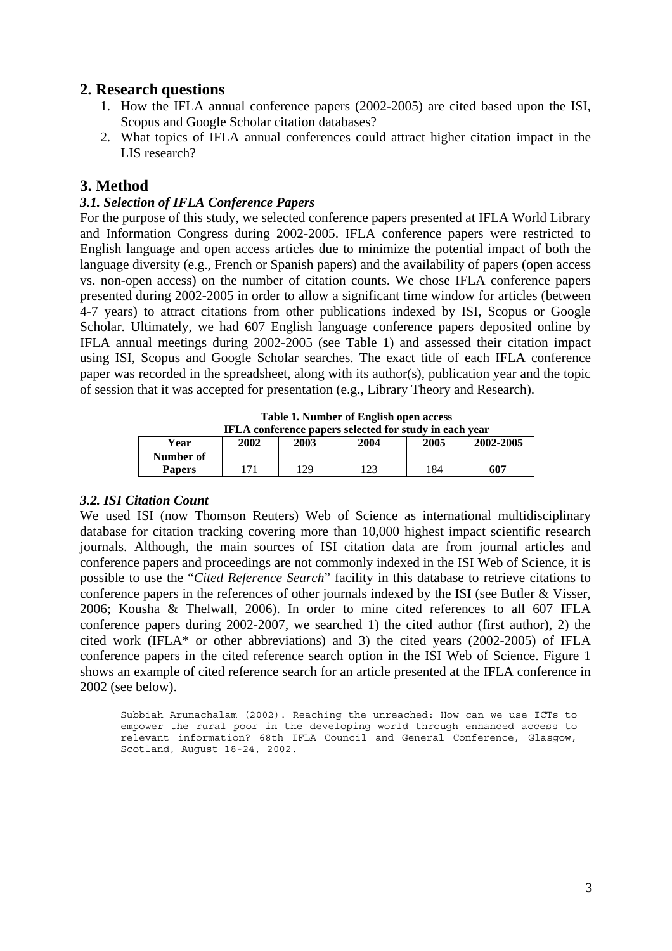# **2. Research questions**

- 1. How the IFLA annual conference papers (2002-2005) are cited based upon the ISI, Scopus and Google Scholar citation databases?
- 2. What topics of IFLA annual conferences could attract higher citation impact in the LIS research?

# **3. Method**

## *3.1. Selection of IFLA Conference Papers*

For the purpose of this study, we selected conference papers presented at IFLA World Library and Information Congress during 2002-2005. IFLA conference papers were restricted to English language and open access articles due to minimize the potential impact of both the language diversity (e.g., French or Spanish papers) and the availability of papers (open access vs. non-open access) on the number of citation counts. We chose IFLA conference papers presented during 2002-2005 in order to allow a significant time window for articles (between 4-7 years) to attract citations from other publications indexed by ISI, Scopus or Google Scholar. Ultimately, we had 607 English language conference papers deposited online by IFLA annual meetings during 2002-2005 (see Table 1) and assessed their citation impact using ISI, Scopus and Google Scholar searches. The exact title of each IFLA conference paper was recorded in the spreadsheet, along with its author(s), publication year and the topic of session that it was accepted for presentation (e.g., Library Theory and Research).

**Table 1. Number of English open access** 

| IFLA conference papers selected for study in each year |      |      |      |      |           |  |  |  |  |  |
|--------------------------------------------------------|------|------|------|------|-----------|--|--|--|--|--|
| Year                                                   | 2002 | 2003 | 2004 | 2005 | 2002-2005 |  |  |  |  |  |
| Number of                                              |      |      |      |      |           |  |  |  |  |  |
| <b>Papers</b>                                          | 171  | 129  | 123  | 184  | 607       |  |  |  |  |  |
|                                                        |      |      |      |      |           |  |  |  |  |  |

## *3.2. ISI Citation Count*

We used ISI (now Thomson Reuters) Web of Science as international multidisciplinary database for citation tracking covering more than 10,000 highest impact scientific research journals. Although, the main sources of ISI citation data are from journal articles and conference papers and proceedings are not commonly indexed in the ISI Web of Science, it is possible to use the "*Cited Reference Search*" facility in this database to retrieve citations to conference papers in the references of other journals indexed by the ISI (see Butler & Visser, 2006; Kousha & Thelwall, 2006). In order to mine cited references to all 607 IFLA conference papers during 2002-2007, we searched 1) the cited author (first author), 2) the cited work (IFLA\* or other abbreviations) and 3) the cited years (2002-2005) of IFLA conference papers in the cited reference search option in the ISI Web of Science. Figure 1 shows an example of cited reference search for an article presented at the IFLA conference in 2002 (see below).

Subbiah Arunachalam (2002). Reaching the unreached: How can we use ICTs to empower the rural poor in the developing world through enhanced access to relevant information? 68th IFLA Council and General Conference, Glasgow, Scotland, August 18-24, 2002.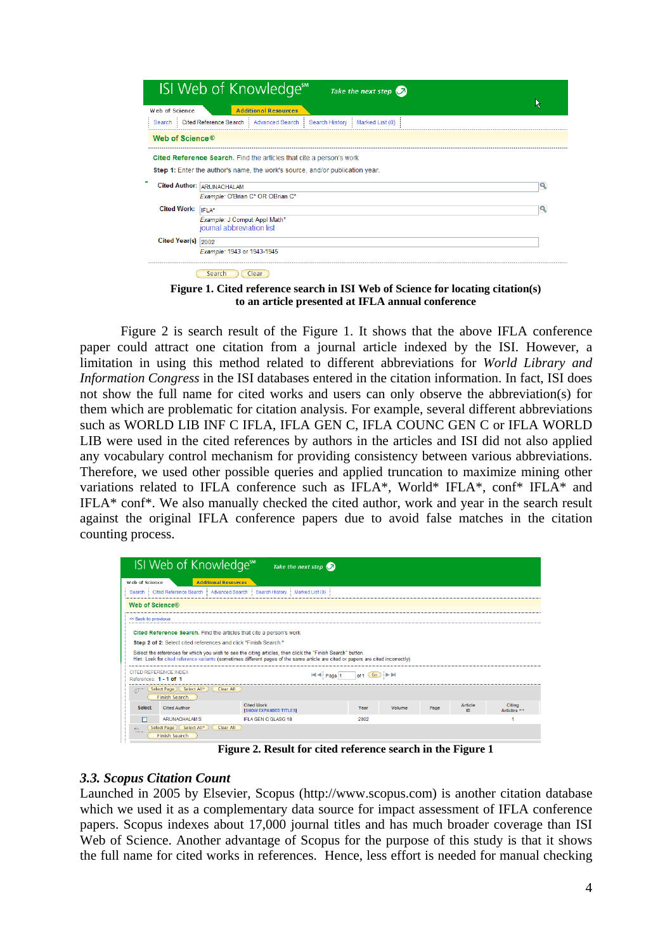|                             | ISI Web of Knowledge <sup>™</sup><br>Take the next step $\bigcirc$                     |   |
|-----------------------------|----------------------------------------------------------------------------------------|---|
| Web of Science              | <b>Additional Resources</b>                                                            |   |
|                             | Search   Cited Reference Search  <br>Advanced Search Search History<br>Marked List (0) |   |
| Web of Science <sup>®</sup> |                                                                                        |   |
|                             |                                                                                        |   |
|                             | Cited Reference Search. Find the articles that cite a person's work                    |   |
|                             | <b>Step 1:</b> Enter the author's name, the work's source, and/or publication year.    |   |
|                             | <b>Cited Author: ARUNACHALAM</b>                                                       | Q |
|                             | Example: O'Brian C* OR OBrian C*                                                       |   |
| <b>Cited Work:</b>          | IFLA*                                                                                  | Q |
|                             | Example: J Comput Appl Math*<br>journal abbreviation list                              |   |
| Cited Year(s) 2002          |                                                                                        |   |

**Figure 1. Cited reference search in ISI Web of Science for locating citation(s) to an article presented at IFLA annual conference** 

Figure 2 is search result of the Figure 1. It shows that the above IFLA conference paper could attract one citation from a journal article indexed by the ISI. However, a limitation in using this method related to different abbreviations for *World Library and Information Congress* in the ISI databases entered in the citation information. In fact, ISI does not show the full name for cited works and users can only observe the abbreviation(s) for them which are problematic for citation analysis. For example, several different abbreviations such as WORLD LIB INF C IFLA, IFLA GEN C, IFLA COUNC GEN C or IFLA WORLD LIB were used in the cited references by authors in the articles and ISI did not also applied any vocabulary control mechanism for providing consistency between various abbreviations. Therefore, we used other possible queries and applied truncation to maximize mining other variations related to IFLA conference such as IFLA\*, World\* IFLA\*, conf\* IFLA\* and IFLA\* conf\*. We also manually checked the cited author, work and year in the search result against the original IFLA conference papers due to avoid false matches in the citation counting process.

|                                                                                                                                                                              | ISI Web of Knowledge**                                                                                                                                                 | Take the next step $\bigcirc$                                                                                                                                                                                                                     |                                         |  |  |  |  |  |  |  |
|------------------------------------------------------------------------------------------------------------------------------------------------------------------------------|------------------------------------------------------------------------------------------------------------------------------------------------------------------------|---------------------------------------------------------------------------------------------------------------------------------------------------------------------------------------------------------------------------------------------------|-----------------------------------------|--|--|--|--|--|--|--|
| Web of Science                                                                                                                                                               | <b>Additional Resources</b>                                                                                                                                            |                                                                                                                                                                                                                                                   |                                         |  |  |  |  |  |  |  |
| Cited Reference Search<br>Advanced Search<br>Search History<br>Marked List (0)<br>Search                                                                                     |                                                                                                                                                                        |                                                                                                                                                                                                                                                   |                                         |  |  |  |  |  |  |  |
| <b>Web of Science®</b>                                                                                                                                                       |                                                                                                                                                                        |                                                                                                                                                                                                                                                   |                                         |  |  |  |  |  |  |  |
| << Back to previous                                                                                                                                                          |                                                                                                                                                                        |                                                                                                                                                                                                                                                   |                                         |  |  |  |  |  |  |  |
|                                                                                                                                                                              | Cited Reference Search. Find the articles that cite a person's work<br>Step 2 of 2: Select cited references and click "Finish Search."<br><b>CITED REFERENCE INDEX</b> | Select the references for which you wish to see the citing articles, then click the "Finish Search" button.<br>Hint: Look for cited reference variants (sometimes different pages of the same article are cited or papers are cited incorrectly). |                                         |  |  |  |  |  |  |  |
| References: 1 - 1 of 1                                                                                                                                                       |                                                                                                                                                                        | Page 1                                                                                                                                                                                                                                            | of $1$ $Go$ $\rightarrow$ $\rightarrow$ |  |  |  |  |  |  |  |
| ste.                                                                                                                                                                         | Select Page ) (Select All*)<br>Clear All<br><b>Finish Search</b>                                                                                                       |                                                                                                                                                                                                                                                   |                                         |  |  |  |  |  |  |  |
| <b>Cited Work</b><br><b>Citing</b><br><b>Article</b><br><b>Select</b><br><b>Cited Author</b><br>Year<br>Volume<br>Page<br>ID<br>Articles **<br><b>[SHOW EXPANDED TITLES]</b> |                                                                                                                                                                        |                                                                                                                                                                                                                                                   |                                         |  |  |  |  |  |  |  |
| ⊓                                                                                                                                                                            | <b>ARUNACHALAM S</b>                                                                                                                                                   | <b>IFLA GEN C GLASG 18</b>                                                                                                                                                                                                                        | 2002                                    |  |  |  |  |  |  |  |
| 原。                                                                                                                                                                           | Select Page ) (Select All*<br>Clear All<br><b>Finish Search</b>                                                                                                        |                                                                                                                                                                                                                                                   |                                         |  |  |  |  |  |  |  |

**Figure 2. Result for cited reference search in the Figure 1** 

## *3.3. Scopus Citation Count*

Launched in 2005 by Elsevier, Scopus (http://www.scopus.com) is another citation database which we used it as a complementary data source for impact assessment of IFLA conference papers. Scopus indexes about 17,000 journal titles and has much broader coverage than ISI Web of Science. Another advantage of Scopus for the purpose of this study is that it shows the full name for cited works in references. Hence, less effort is needed for manual checking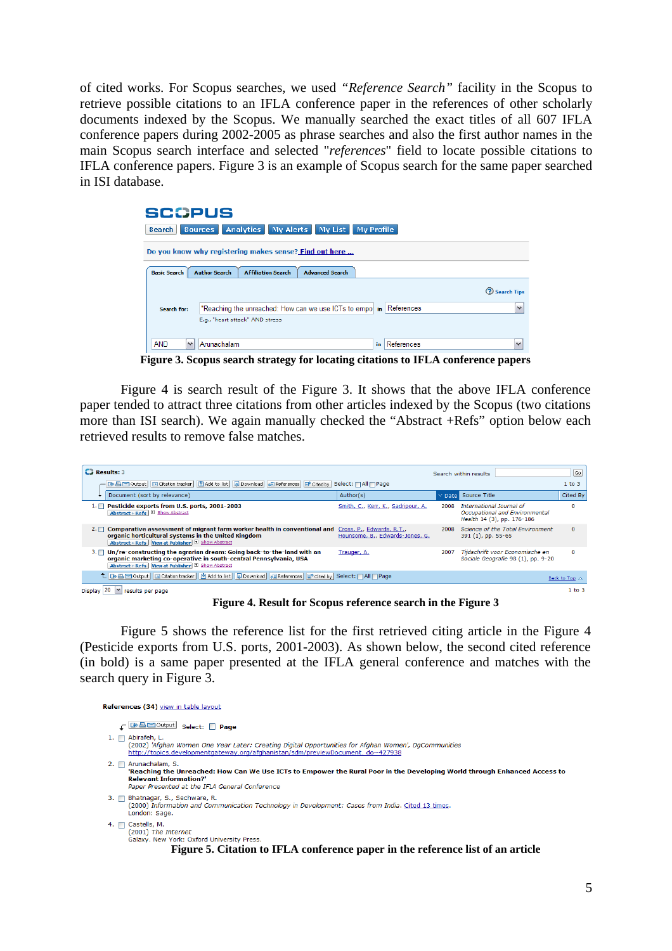of cited works. For Scopus searches, we used *"Reference Search"* facility in the Scopus to retrieve possible citations to an IFLA conference paper in the references of other scholarly documents indexed by the Scopus. We manually searched the exact titles of all 607 IFLA conference papers during 2002-2005 as phrase searches and also the first author names in the main Scopus search interface and selected "*references*" field to locate possible citations to IFLA conference papers. Figure 3 is an example of Scopus search for the same paper searched in ISI database.

| <b>SCOPUS</b>              |                                                                             |    |            |                      |  |  |  |  |  |
|----------------------------|-----------------------------------------------------------------------------|----|------------|----------------------|--|--|--|--|--|
| <b>Search</b>              | My Alerts<br><b>Analytics</b><br>My List<br>My Profile<br><b>Sources</b>    |    |            |                      |  |  |  |  |  |
|                            | Do you know why registering makes sense? Find out here                      |    |            |                      |  |  |  |  |  |
| <b>Basic Search</b>        | <b>Author Search</b><br><b>Affiliation Search</b><br><b>Advanced Search</b> |    |            |                      |  |  |  |  |  |
|                            |                                                                             |    |            | <b>2</b> Search Tips |  |  |  |  |  |
| Search for:                | "Reaching the unreached: How can we use ICTs to empowin References          |    |            | $\checkmark$         |  |  |  |  |  |
|                            | E.g., "heart attack" AND stress                                             |    |            |                      |  |  |  |  |  |
| <b>AND</b><br>$\checkmark$ | Arunachalam                                                                 | in | References | $\checkmark$         |  |  |  |  |  |

**Figure 3. Scopus search strategy for locating citations to IFLA conference papers** 

Figure 4 is search result of the Figure 3. It shows that the above IFLA conference paper tended to attract three citations from other articles indexed by the Scopus (two citations more than ISI search). We again manually checked the "Abstract +Refs" option below each retrieved results to remove false matches.

| $\Box$ Results: 3                                                                                                                                                                                                               |                                    |                            | Search within results                                                                    | Go                      |
|---------------------------------------------------------------------------------------------------------------------------------------------------------------------------------------------------------------------------------|------------------------------------|----------------------------|------------------------------------------------------------------------------------------|-------------------------|
| 그 그러나 아이들 그 Citation tracker   한 Add to list   Download   e References   한 Cited by   Select:   All   Page                                                                                                                      |                                    |                            |                                                                                          | $1$ to $3$              |
| Document (sort by relevance)                                                                                                                                                                                                    | Author(s)                          | $\vee$ Date $\blacksquare$ | Source Title                                                                             | Cited By                |
| Pesticide exports from U.S. ports, 2001-2003<br>$1. \Box$<br>Abstract + Refs   E Show Abstract                                                                                                                                  | Smith, C., Kerr, K., Sadripour, A. | 2008                       | International Journal of<br>Occupational and Environmental<br>Health 14 (3), pp. 176-186 | $\Omega$                |
| Comparative assessment of migrant farm worker health in conventional and Cross, P., Edwards, R.T.,<br>$2.\Box$<br>organic horticultural systems in the United Kingdom<br>Abstract + Refs   View at Publisher   El Show Abstract | Hounsome, B., Edwards-Jones, G.    | 2008                       | Science of the Total Environment<br>391 (1), pp. 55-65                                   | $\Omega$                |
| Un/re-constructing the agrarian dream: Going back-to-the-land with an<br>$3. \Box$<br>organic marketing co-operative in south-central Pennsylvania, USA<br>Abstract + Refs   View at Publisher   El Show Abstract               | Trauger, A.                        | 2007                       | Tijdschrift voor Economische en<br>Sociale Geografie 98 (1), pp. 9-20                    | 0                       |
| L Be EM Output   III Citation tracker   [8] Add to list     D Download   ell References   EM Cited by   Select:   All     Page                                                                                                  |                                    |                            |                                                                                          | Back to Top $\triangle$ |
| Display $20 \times$ results per page                                                                                                                                                                                            |                                    |                            |                                                                                          | $1$ to $3$              |

**Figure 4. Result for Scopus reference search in the Figure 3** 

Figure 5 shows the reference list for the first retrieved citing article in the Figure 4 (Pesticide exports from U.S. ports, 2001-2003). As shown below, the second cited reference (in bold) is a same paper presented at the IFLA general conference and matches with the search query in Figure 3.

References (34) view in table layout ← BBM Output Select: □ Page 1.  $\Box$  Abirafeh, L. (2002) 'Afghan Women One Year Later: Creating Digital Opportunities for Afghan Women', DgCommunities http://topics.developmentgateway.org/afghanistan/sdm/previewDocument.do~427938 2.  $\Box$  Arunachalam, S. muncthenom, 5.<br>"Reaching the Unreached: How Can We Use ICTs to Empower the Rural Poor in the Developing World through Enhanced Access to **Relevant Information?** Paper Presented at the IFLA General Conference 3. <sup>2</sup> Bhatnagar, S., Sechware, R.<br>(2000) Information and Communication Technology in Development: Cases from India. Cited 13 times. London: Sage. 4.  $\Box$  Castells, M. (2001) The Internet Galaxy. New York: Oxford University Press. **Figure 5. Citation to IFLA conference paper in the reference list of an article**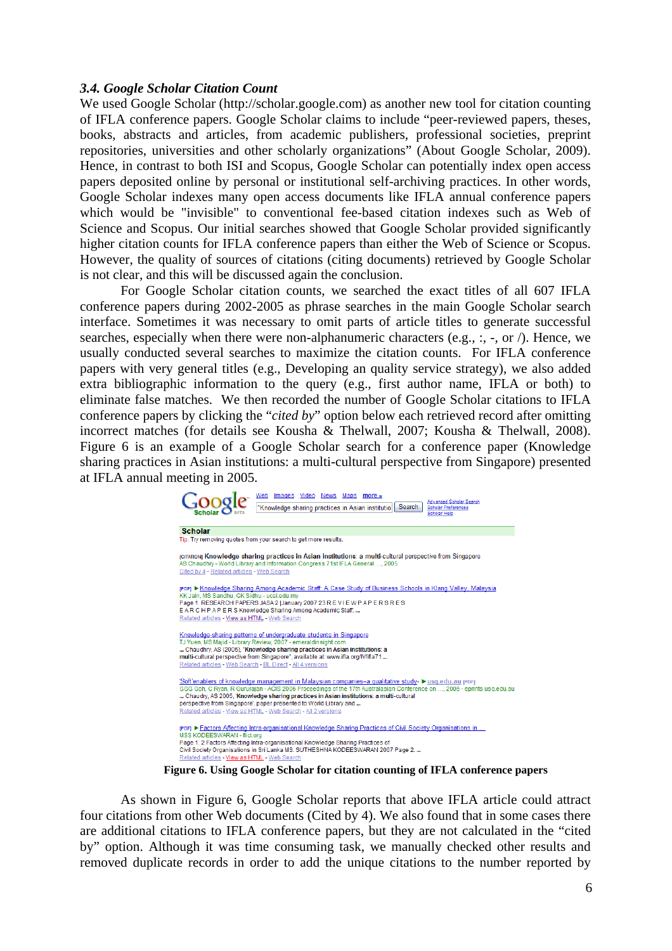#### *3.4. Google Scholar Citation Count*

We used Google Scholar (http://scholar.google.com) as another new tool for citation counting of IFLA conference papers. Google Scholar claims to include "peer-reviewed papers, theses, books, abstracts and articles, from academic publishers, professional societies, preprint repositories, universities and other scholarly organizations" (About Google Scholar, 2009). Hence, in contrast to both ISI and Scopus, Google Scholar can potentially index open access papers deposited online by personal or institutional self-archiving practices. In other words, Google Scholar indexes many open access documents like IFLA annual conference papers which would be "invisible" to conventional fee-based citation indexes such as Web of Science and Scopus. Our initial searches showed that Google Scholar provided significantly higher citation counts for IFLA conference papers than either the Web of Science or Scopus. However, the quality of sources of citations (citing documents) retrieved by Google Scholar is not clear, and this will be discussed again the conclusion.

For Google Scholar citation counts, we searched the exact titles of all 607 IFLA conference papers during 2002-2005 as phrase searches in the main Google Scholar search interface. Sometimes it was necessary to omit parts of article titles to generate successful searches, especially when there were non-alphanumeric characters (e.g., :, -, or /). Hence, we usually conducted several searches to maximize the citation counts. For IFLA conference papers with very general titles (e.g., Developing an quality service strategy), we also added extra bibliographic information to the query (e.g., first author name, IFLA or both) to eliminate false matches. We then recorded the number of Google Scholar citations to IFLA conference papers by clicking the "*cited by*" option below each retrieved record after omitting incorrect matches (for details see Kousha & Thelwall, 2007; Kousha & Thelwall, 2008). Figure 6 is an example of a Google Scholar search for a conference paper (Knowledge sharing practices in Asian institutions: a multi-cultural perspective from Singapore) presented at IFLA annual meeting in 2005.

| News Maps<br>Web<br>Video<br>Images<br>more »<br>Advanced Scholar Search<br><b>Search</b><br>"Knowledge sharing practices in Asian institutio<br><b>Scholar Preferences</b><br>Scholar Help                                                                                                                                                                                                                                                                     |
|-----------------------------------------------------------------------------------------------------------------------------------------------------------------------------------------------------------------------------------------------------------------------------------------------------------------------------------------------------------------------------------------------------------------------------------------------------------------|
| <b>Scholar</b>                                                                                                                                                                                                                                                                                                                                                                                                                                                  |
| Tip: Try removing quotes from your search to get more results.                                                                                                                                                                                                                                                                                                                                                                                                  |
| <b>CITATIONI Knowledge sharing practices in Asian institutions: a multi-cultural perspective from Singapore</b><br>AS Chaudhry - World Library and Information Congress 71st IFLA General , 2005<br>Cited by 4 - Related articles - Web Search                                                                                                                                                                                                                  |
| rPDFI ► Knowledge Sharing Among Academic Staff: A Case Study of Business Schools in Klang Valley, Malaysia<br>KK Jain, MS Sandhu, GK Sidhu - ucsi.edu.my<br>Page 1. RESEARCH PAPERS JASA 2 JJanuary 2007 23 R E V I E W P A P E R S R E S<br>EARCHPAPERS Knowledge Sharing Among Academic Staff.<br>Related articles - View as HTML - Web Search                                                                                                                |
| Knowledge-sharing patterns of undergraduate students in Singapore<br>TJ Yuen, MS Maiid - Library Review, 2007 - emeraldinsight.com<br>Chaudhry, AS (2005), "Knowledge sharing practices in Asian institutions: a<br>multi-cultural perspective from Singapore", available at: www.ifla.org/lV/ifla71<br>Related articles - Web Search - BL Direct - All 4 versions                                                                                              |
| 'Soft'enablers of knowledge management in Malaysian companies-a qualitative study- ► usq.edu.au ppri<br>GGG Goh, C Ryan, R Gururajan - ACIS 2006 Proceedings of the 17th Australasian Conference on , 2006 - eprints.usq.edu.au<br>Chaudry, AS 2005, 'Knowledge sharing practices in Asian institutions: a multi-cultural<br>perspective from Singapore', paper presented to World Library and<br>Related articles - View as HTML - Web Search - All 2 versions |
| repr ► Factors Affecting Intra-organisational Knowledge Sharing Practices of Civil Society Organisations in<br>MSS KODEESWARAN - flict.org<br>Page 1. 2 Factors Affecting Intra-organisational Knowledge Sharing Practices of<br>Civil Society Organisations in Sri Lanka MS. SUTHESHNA KODEESWARAN 2007 Page 2.<br>Related articles - View as HTML - Web Search<br>$\cdot$ .<br>$\mathbf{a}$ . The set of $\mathbf{a}$                                         |

**Figure 6. Using Google Scholar for citation counting of IFLA conference papers** 

As shown in Figure 6, Google Scholar reports that above IFLA article could attract four citations from other Web documents (Cited by 4). We also found that in some cases there are additional citations to IFLA conference papers, but they are not calculated in the "cited by" option. Although it was time consuming task, we manually checked other results and removed duplicate records in order to add the unique citations to the number reported by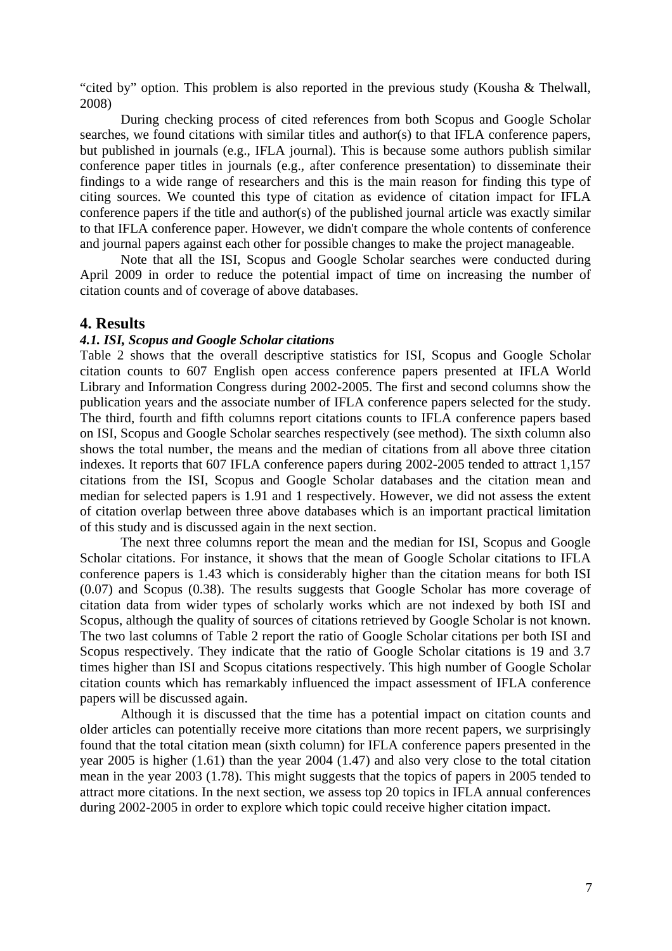"cited by" option. This problem is also reported in the previous study (Kousha & Thelwall, 2008)

During checking process of cited references from both Scopus and Google Scholar searches, we found citations with similar titles and author(s) to that IFLA conference papers, but published in journals (e.g., IFLA journal). This is because some authors publish similar conference paper titles in journals (e.g., after conference presentation) to disseminate their findings to a wide range of researchers and this is the main reason for finding this type of citing sources. We counted this type of citation as evidence of citation impact for IFLA conference papers if the title and author(s) of the published journal article was exactly similar to that IFLA conference paper. However, we didn't compare the whole contents of conference and journal papers against each other for possible changes to make the project manageable.

Note that all the ISI, Scopus and Google Scholar searches were conducted during April 2009 in order to reduce the potential impact of time on increasing the number of citation counts and of coverage of above databases.

#### **4. Results**

#### *4.1. ISI, Scopus and Google Scholar citations*

Table 2 shows that the overall descriptive statistics for ISI, Scopus and Google Scholar citation counts to 607 English open access conference papers presented at IFLA World Library and Information Congress during 2002-2005. The first and second columns show the publication years and the associate number of IFLA conference papers selected for the study. The third, fourth and fifth columns report citations counts to IFLA conference papers based on ISI, Scopus and Google Scholar searches respectively (see method). The sixth column also shows the total number, the means and the median of citations from all above three citation indexes. It reports that 607 IFLA conference papers during 2002-2005 tended to attract 1,157 citations from the ISI, Scopus and Google Scholar databases and the citation mean and median for selected papers is 1.91 and 1 respectively. However, we did not assess the extent of citation overlap between three above databases which is an important practical limitation of this study and is discussed again in the next section.

The next three columns report the mean and the median for ISI, Scopus and Google Scholar citations. For instance, it shows that the mean of Google Scholar citations to IFLA conference papers is 1.43 which is considerably higher than the citation means for both ISI (0.07) and Scopus (0.38). The results suggests that Google Scholar has more coverage of citation data from wider types of scholarly works which are not indexed by both ISI and Scopus, although the quality of sources of citations retrieved by Google Scholar is not known. The two last columns of Table 2 report the ratio of Google Scholar citations per both ISI and Scopus respectively. They indicate that the ratio of Google Scholar citations is 19 and 3.7 times higher than ISI and Scopus citations respectively. This high number of Google Scholar citation counts which has remarkably influenced the impact assessment of IFLA conference papers will be discussed again.

Although it is discussed that the time has a potential impact on citation counts and older articles can potentially receive more citations than more recent papers, we surprisingly found that the total citation mean (sixth column) for IFLA conference papers presented in the year 2005 is higher (1.61) than the year 2004 (1.47) and also very close to the total citation mean in the year 2003 (1.78). This might suggests that the topics of papers in 2005 tended to attract more citations. In the next section, we assess top 20 topics in IFLA annual conferences during 2002-2005 in order to explore which topic could receive higher citation impact.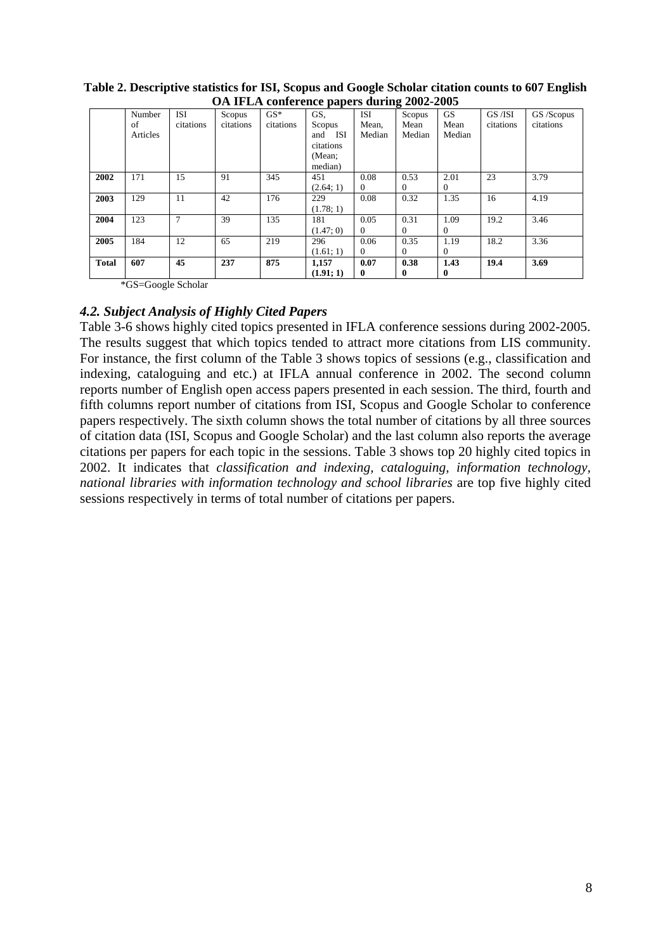|              | OA IF DA COMCECICE papers during $2002 - 2003$ |           |           |           |           |              |          |           |           |            |  |
|--------------|------------------------------------------------|-----------|-----------|-----------|-----------|--------------|----------|-----------|-----------|------------|--|
|              | Number                                         | ISI       | Scopus    | $GS*$     | GS.       | ISI          | Scopus   | <b>GS</b> | GS /ISI   | GS /Scopus |  |
|              | of                                             | citations | citations | citations | Scopus    | Mean,        | Mean     | Mean      | citations | citations  |  |
|              | Articles                                       |           |           |           | and ISI   | Median       | Median   | Median    |           |            |  |
|              |                                                |           |           |           | citations |              |          |           |           |            |  |
|              |                                                |           |           |           | (Mean:    |              |          |           |           |            |  |
|              |                                                |           |           |           | median)   |              |          |           |           |            |  |
| 2002         | 171                                            | 15        | 91        | 345       | 451       | 0.08         | 0.53     | 2.01      | 23        | 3.79       |  |
|              |                                                |           |           |           | (2.64; 1) | $\Omega$     | $\theta$ | 0         |           |            |  |
| 2003         | 129                                            | 11        | 42        | 176       | 229       | 0.08         | 0.32     | 1.35      | 16        | 4.19       |  |
|              |                                                |           |           |           | (1.78; 1) |              |          |           |           |            |  |
| 2004         | 123                                            | 7         | 39        | 135       | 181       | 0.05         | 0.31     | 1.09      | 19.2      | 3.46       |  |
|              |                                                |           |           |           | (1.47; 0) | $\Omega$     | $\theta$ | $\Omega$  |           |            |  |
| 2005         | 184                                            | 12        | 65        | 219       | 296       | 0.06         | 0.35     | 1.19      | 18.2      | 3.36       |  |
|              |                                                |           |           |           | (1.61; 1) | $\Omega$     | $\theta$ | 0         |           |            |  |
| <b>Total</b> | 607                                            | 45        | 237       | 875       | 1,157     | 0.07         | 0.38     | 1.43      | 19.4      | 3.69       |  |
|              |                                                |           |           |           | (1.91; 1) | $\mathbf{0}$ | 0        | 0         |           |            |  |

**Table 2. Descriptive statistics for ISI, Scopus and Google Scholar citation counts to 607 English OA IFLA conference papers during 2002-2005** 

\*GS=Google Scholar

### *4.2. Subject Analysis of Highly Cited Papers*

Table 3-6 shows highly cited topics presented in IFLA conference sessions during 2002-2005. The results suggest that which topics tended to attract more citations from LIS community. For instance, the first column of the Table 3 shows topics of sessions (e.g., classification and indexing, cataloguing and etc.) at IFLA annual conference in 2002. The second column reports number of English open access papers presented in each session. The third, fourth and fifth columns report number of citations from ISI, Scopus and Google Scholar to conference papers respectively. The sixth column shows the total number of citations by all three sources of citation data (ISI, Scopus and Google Scholar) and the last column also reports the average citations per papers for each topic in the sessions. Table 3 shows top 20 highly cited topics in 2002. It indicates that *classification and indexing, cataloguing, information technology, national libraries with information technology and school libraries* are top five highly cited sessions respectively in terms of total number of citations per papers.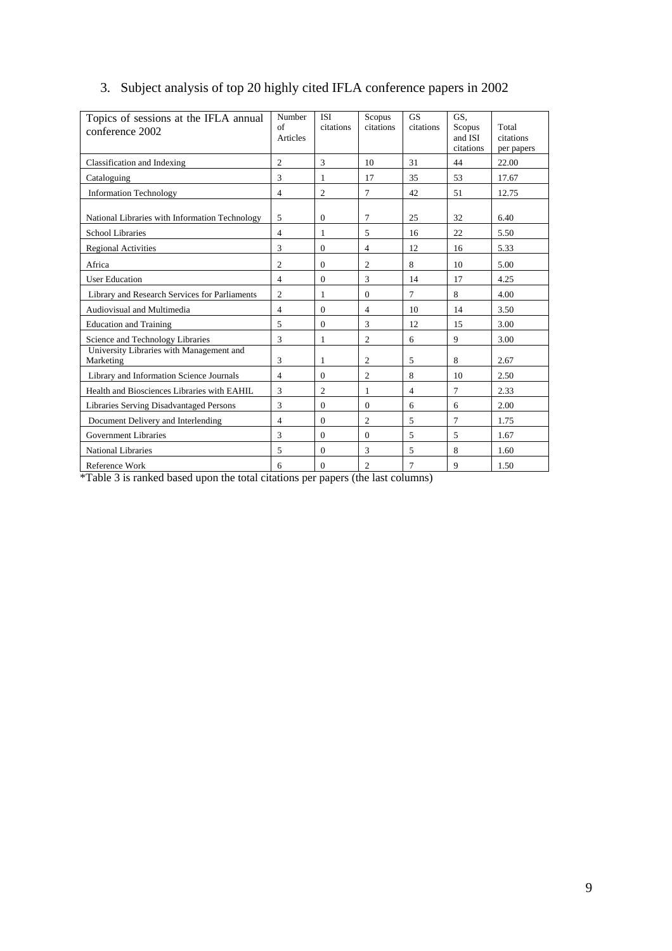| Topics of sessions at the IFLA annual<br>conference 2002 | Number<br>$\alpha$ f<br>Articles | <b>ISI</b><br>citations | Scopus<br>citations | <b>GS</b><br>citations | GS.<br>Scopus<br>and ISI<br>citations | Total<br>citations<br>per papers |
|----------------------------------------------------------|----------------------------------|-------------------------|---------------------|------------------------|---------------------------------------|----------------------------------|
| Classification and Indexing                              | $\overline{c}$                   | 3                       | 10                  | 31                     | 44                                    | 22.00                            |
| Cataloguing                                              | 3                                | 1                       | 17                  | 35                     | 53                                    | 17.67                            |
| <b>Information Technology</b>                            | $\overline{4}$                   | $\overline{c}$          | 7                   | 42                     | 51                                    | 12.75                            |
| National Libraries with Information Technology           | 5                                | $\boldsymbol{0}$        | 7                   | 25                     | 32                                    | 6.40                             |
| <b>School Libraries</b>                                  | $\overline{4}$                   | 1                       | 5                   | 16                     | 22                                    | 5.50                             |
| <b>Regional Activities</b>                               | 3                                | $\Omega$                | 4                   | 12                     | 16                                    | 5.33                             |
| Africa                                                   | $\overline{c}$                   | $\Omega$                | $\overline{c}$      | 8                      | 10                                    | 5.00                             |
| <b>User Education</b>                                    | $\overline{4}$                   | $\Omega$                | 3                   | 14                     | 17                                    | 4.25                             |
| Library and Research Services for Parliaments            | $\mathfrak{2}$                   | 1                       | $\Omega$            | 7                      | 8                                     | 4.00                             |
| Audiovisual and Multimedia                               | $\overline{4}$                   | $\Omega$                | 4                   | 10                     | 14                                    | 3.50                             |
| <b>Education and Training</b>                            | 5                                | $\theta$                | 3                   | 12                     | 15                                    | 3.00                             |
| Science and Technology Libraries                         | 3                                | 1                       | $\overline{2}$      | 6                      | 9                                     | 3.00                             |
| University Libraries with Management and<br>Marketing    | 3                                | 1                       | 2                   | 5                      | 8                                     | 2.67                             |
| Library and Information Science Journals                 | $\overline{4}$                   | $\Omega$                | $\overline{c}$      | 8                      | 10                                    | 2.50                             |
| Health and Biosciences Libraries with EAHIL              | 3                                | $\overline{2}$          | 1                   | $\overline{4}$         | 7                                     | 2.33                             |
| Libraries Serving Disadvantaged Persons                  | 3                                | $\Omega$                | $\theta$            | 6                      | 6                                     | 2.00                             |
| Document Delivery and Interlending                       | $\overline{4}$                   | $\theta$                | $\overline{c}$      | 5                      | 7                                     | 1.75                             |
| <b>Government Libraries</b>                              | 3                                | $\Omega$                | $\mathbf{0}$        | 5                      | 5                                     | 1.67                             |
| <b>National Libraries</b>                                | 5                                | $\Omega$                | 3                   | 5                      | 8                                     | 1.60                             |
| Reference Work                                           | 6                                | $\mathbf{0}$            | $\overline{c}$      | 7                      | 9                                     | 1.50                             |

# 3. Subject analysis of top 20 highly cited IFLA conference papers in 2002

\*Table 3 is ranked based upon the total citations per papers (the last columns)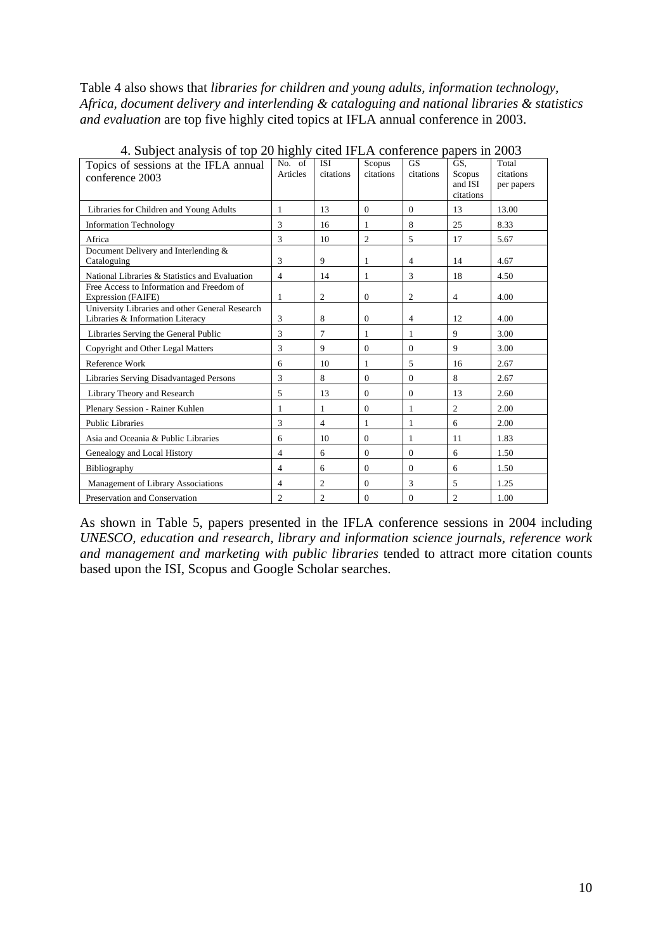Table 4 also shows that *libraries for children and young adults, information technology, Africa, document delivery and interlending & cataloguing and national libraries & statistics and evaluation* are top five highly cited topics at IFLA annual conference in 2003.

| $\pm$ . Subject analysis of top 20 inging clien in EA conference papers in 2009     |                    |                  |                     |                        |                                       |                                  |
|-------------------------------------------------------------------------------------|--------------------|------------------|---------------------|------------------------|---------------------------------------|----------------------------------|
| Topics of sessions at the IFLA annual<br>conference 2003                            | No. of<br>Articles | ISI<br>citations | Scopus<br>citations | <b>GS</b><br>citations | GS.<br>Scopus<br>and ISI<br>citations | Total<br>citations<br>per papers |
| Libraries for Children and Young Adults                                             | $\mathbf{1}$       | 13               | $\mathbf{0}$        | $\theta$               | 13                                    | 13.00                            |
| <b>Information Technology</b>                                                       | 3                  | 16               | 1                   | 8                      | 25                                    | 8.33                             |
| Africa                                                                              | 3                  | 10               | $\overline{c}$      | 5                      | 17                                    | 5.67                             |
| Document Delivery and Interlending &<br>Cataloguing                                 | 3                  | 9                | 1                   | 4                      | 14                                    | 4.67                             |
| National Libraries & Statistics and Evaluation                                      | $\overline{4}$     | 14               | 1                   | 3                      | 18                                    | 4.50                             |
| Free Access to Information and Freedom of<br><b>Expression (FAIFE)</b>              | 1                  | $\overline{c}$   | $\Omega$            | $\overline{c}$         | $\overline{4}$                        | 4.00                             |
| University Libraries and other General Research<br>Libraries & Information Literacy | 3                  | 8                | $\Omega$            | $\overline{4}$         | 12                                    | 4.00                             |
| Libraries Serving the General Public                                                | 3                  | 7                | 1                   | 1                      | 9                                     | 3.00                             |
| Copyright and Other Legal Matters                                                   | 3                  | 9                | $\Omega$            | $\Omega$               | 9                                     | 3.00                             |
| Reference Work                                                                      | 6                  | 10               | 1                   | 5                      | 16                                    | 2.67                             |
| Libraries Serving Disadvantaged Persons                                             | 3                  | 8                | $\Omega$            | $\Omega$               | 8                                     | 2.67                             |
| Library Theory and Research                                                         | 5                  | 13               | $\Omega$            | $\Omega$               | 13                                    | 2.60                             |
| Plenary Session - Rainer Kuhlen                                                     | 1                  | 1                | $\Omega$            | 1                      | $\overline{2}$                        | 2.00                             |
| <b>Public Libraries</b>                                                             | 3                  | $\overline{4}$   | 1                   | 1                      | 6                                     | 2.00                             |
| Asia and Oceania & Public Libraries                                                 | 6                  | 10               | $\theta$            |                        | 11                                    | 1.83                             |
| Genealogy and Local History                                                         | $\overline{4}$     | 6                | $\Omega$            | $\Omega$               | 6                                     | 1.50                             |
| Bibliography                                                                        | $\overline{4}$     | 6                | $\Omega$            | $\Omega$               | 6                                     | 1.50                             |
| Management of Library Associations                                                  | $\overline{4}$     | $\overline{c}$   | $\Omega$            | 3                      | 5                                     | 1.25                             |
| Preservation and Conservation                                                       | $\overline{c}$     | $\overline{2}$   | $\Omega$            | 0                      | $\overline{c}$                        | 1.00                             |

4. Subject analysis of top 20 highly cited IFLA conference papers in 2003

As shown in Table 5, papers presented in the IFLA conference sessions in 2004 including *UNESCO, education and research, library and information science journals, reference work and management and marketing with public libraries* tended to attract more citation counts based upon the ISI, Scopus and Google Scholar searches.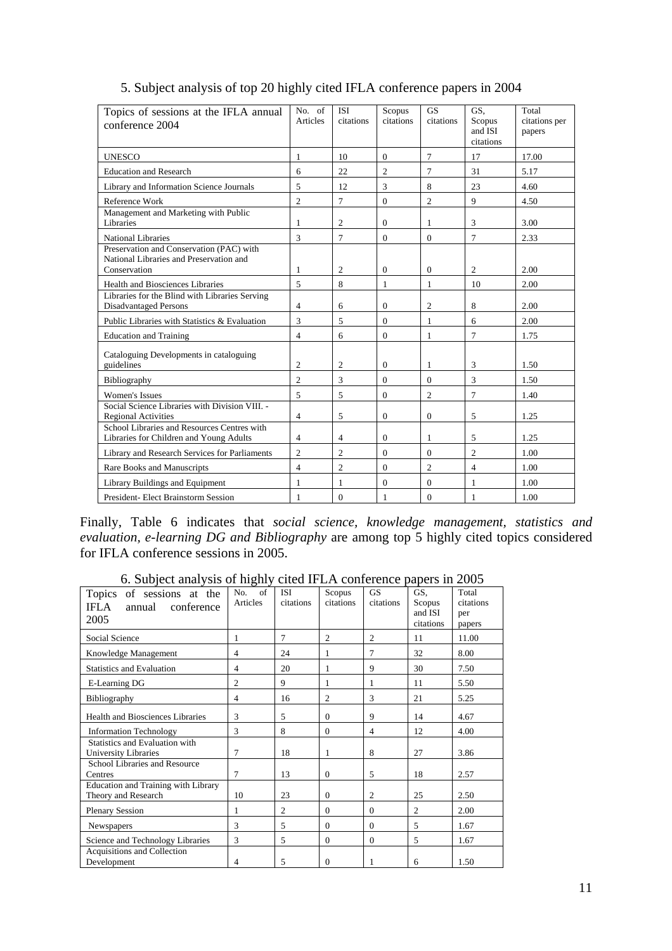| Topics of sessions at the IFLA annual<br>conference 2004                                            | No. of<br>Articles | <b>ISI</b><br>citations | Scopus<br>citations | <b>GS</b><br>citations | GS,<br>Scopus<br>and ISI<br>citations | Total<br>citations per<br>papers |
|-----------------------------------------------------------------------------------------------------|--------------------|-------------------------|---------------------|------------------------|---------------------------------------|----------------------------------|
| <b>UNESCO</b>                                                                                       | 1                  | 10                      | $\Omega$            | 7                      | 17                                    | 17.00                            |
| <b>Education and Research</b>                                                                       | 6                  | 22                      | $\overline{2}$      | 7                      | 31                                    | 5.17                             |
| Library and Information Science Journals                                                            | 5                  | 12                      | 3                   | 8                      | 23                                    | 4.60                             |
| Reference Work                                                                                      | $\overline{c}$     | $\overline{7}$          | $\mathbf{0}$        | $\overline{2}$         | 9                                     | 4.50                             |
| Management and Marketing with Public<br>Libraries                                                   | 1                  | $\overline{c}$          | 0                   | 1                      | 3                                     | 3.00                             |
| <b>National Libraries</b>                                                                           | 3                  | 7                       | $\Omega$            | $\Omega$               | 7                                     | 2.33                             |
| Preservation and Conservation (PAC) with<br>National Libraries and Preservation and<br>Conservation | 1                  | 2                       | $\mathbf{0}$        | $\mathbf{0}$           | $\overline{c}$                        | 2.00                             |
| Health and Biosciences Libraries                                                                    | 5                  | 8                       | 1                   | 1                      | 10                                    | 2.00                             |
| Libraries for the Blind with Libraries Serving<br><b>Disadvantaged Persons</b>                      | 4                  | 6                       | $\overline{0}$      | $\overline{c}$         | 8                                     | 2.00                             |
| Public Libraries with Statistics & Evaluation                                                       | 3                  | 5                       | $\Omega$            | 1                      | 6                                     | 2.00                             |
| <b>Education and Training</b>                                                                       | $\overline{4}$     | 6                       | $\overline{0}$      | 1                      | 7                                     | 1.75                             |
| Cataloguing Developments in cataloguing<br>guidelines                                               | $\overline{c}$     | $\overline{c}$          | $\overline{0}$      | 1                      | 3                                     | 1.50                             |
| Bibliography                                                                                        | $\overline{2}$     | 3                       | $\mathbf{0}$        | $\theta$               | 3                                     | 1.50                             |
| <b>Women's Issues</b>                                                                               | 5                  | 5                       | $\overline{0}$      | $\overline{c}$         | 7                                     | 1.40                             |
| Social Science Libraries with Division VIII. -<br><b>Regional Activities</b>                        | 4                  | 5                       | 0                   | $\theta$               | 5                                     | 1.25                             |
| School Libraries and Resources Centres with<br>Libraries for Children and Young Adults              | 4                  | $\overline{4}$          | 0                   | 1                      | 5                                     | 1.25                             |
| Library and Research Services for Parliaments                                                       | $\overline{2}$     | $\overline{2}$          | $\Omega$            | $\Omega$               | $\overline{2}$                        | 1.00                             |
| Rare Books and Manuscripts                                                                          | $\overline{4}$     | $\overline{2}$          | $\overline{0}$      | $\overline{c}$         | $\overline{4}$                        | 1.00                             |
| Library Buildings and Equipment                                                                     | 1                  | $\mathbf{1}$            | $\theta$            | $\Omega$               | 1                                     | 1.00                             |
| <b>President-Elect Brainstorm Session</b>                                                           | 1                  | $\mathbf{0}$            | 1                   | $\Omega$               | 1                                     | 1.00                             |

# 5. Subject analysis of top 20 highly cited IFLA conference papers in 2004

Finally, Table 6 indicates that *social science, knowledge management, statistics and evaluation, e-learning DG and Bibliography* are among top 5 highly cited topics considered for IFLA conference sessions in 2005.

|                                                                   | อา                    |                         |                     |                        |                          |                           |
|-------------------------------------------------------------------|-----------------------|-------------------------|---------------------|------------------------|--------------------------|---------------------------|
| Topics of sessions at the<br>IFLA<br>conference<br>annual         | of<br>No.<br>Articles | <b>ISI</b><br>citations | Scopus<br>citations | <b>GS</b><br>citations | GS,<br>Scopus<br>and ISI | Total<br>citations<br>per |
| 2005                                                              |                       |                         |                     |                        | citations                | papers                    |
| Social Science                                                    | 1                     | 7                       | $\overline{c}$      | $\overline{c}$         | 11                       | 11.00                     |
| Knowledge Management                                              | 4                     | 24                      | 1                   | 7                      | 32                       | 8.00                      |
| <b>Statistics and Evaluation</b>                                  | 4                     | 20                      | 1                   | 9                      | 30                       | 7.50                      |
| E-Learning DG                                                     | $\overline{c}$        | 9                       | 1                   | 1                      | 11                       | 5.50                      |
| Bibliography                                                      | 4                     | 16                      | 2                   | 3                      | 21                       | 5.25                      |
| <b>Health and Biosciences Libraries</b>                           | 3                     | 5                       | $\Omega$            | 9                      | 14                       | 4.67                      |
| <b>Information Technology</b>                                     | 3                     | 8                       | $\Omega$            | 4                      | 12                       | 4.00                      |
| Statistics and Evaluation with<br>University Libraries            | 7                     | 18                      |                     | 8                      | 27                       | 3.86                      |
| School Libraries and Resource<br>Centres                          | 7                     | 13                      | $\Omega$            | 5                      | 18                       | 2.57                      |
| <b>Education and Training with Library</b><br>Theory and Research | 10                    | 23                      | $\mathbf{0}$        | $\overline{2}$         | 25                       | 2.50                      |
| <b>Plenary Session</b>                                            | 1                     | $\overline{c}$          | $\Omega$            | $\Omega$               | $\overline{c}$           | 2.00                      |
| <b>Newspapers</b>                                                 | $\mathcal{R}$         | 5                       | $\Omega$            | $\theta$               | 5                        | 1.67                      |
| Science and Technology Libraries                                  | 3                     | 5                       | $\theta$            | $\theta$               | 5                        | 1.67                      |
| Acquisitions and Collection<br>Development                        | 4                     | 5                       | $\mathbf{0}$        | 1                      | 6                        | 1.50                      |

6. Subject analysis of highly cited IFLA conference papers in 2005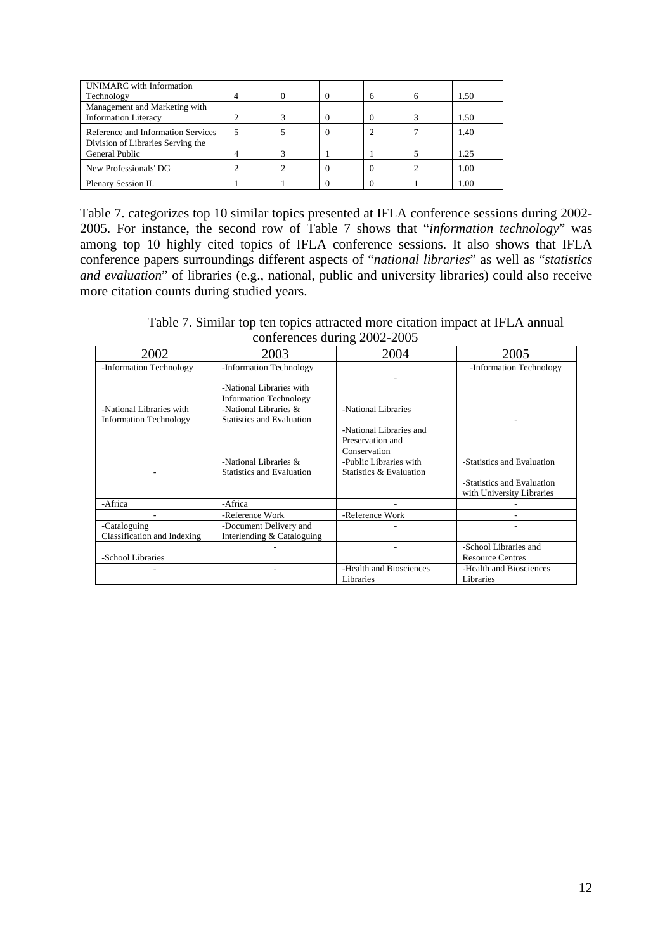| UNIMARC with Information           |  |        |   |      |
|------------------------------------|--|--------|---|------|
| Technology                         |  | $_{0}$ | 6 | 1.50 |
| Management and Marketing with      |  |        |   |      |
| <b>Information Literacy</b>        |  |        |   | 1.50 |
| Reference and Information Services |  |        |   | 1.40 |
| Division of Libraries Serving the  |  |        |   |      |
| General Public                     |  |        |   | 1.25 |
| New Professionals' DG              |  |        |   | 1.00 |
| Plenary Session II.                |  |        |   | 1.00 |

Table 7. categorizes top 10 similar topics presented at IFLA conference sessions during 2002- 2005. For instance, the second row of Table 7 shows that "*information technology*" was among top 10 highly cited topics of IFLA conference sessions. It also shows that IFLA conference papers surroundings different aspects of "*national libraries*" as well as "*statistics and evaluation*" of libraries (e.g., national, public and university libraries) could also receive more citation counts during studied years.

Table 7. Similar top ten topics attracted more citation impact at IFLA annual conferences during 2002-2005

| 2002                          | 2003                             | 2004                    | 2005                       |
|-------------------------------|----------------------------------|-------------------------|----------------------------|
| -Information Technology       | -Information Technology          |                         | -Information Technology    |
|                               |                                  |                         |                            |
|                               | -National Libraries with         |                         |                            |
|                               | <b>Information Technology</b>    |                         |                            |
| -National Libraries with      | -National Libraries &            | -National Libraries     |                            |
| <b>Information Technology</b> | <b>Statistics and Evaluation</b> |                         |                            |
|                               |                                  | -National Libraries and |                            |
|                               |                                  | Preservation and        |                            |
|                               |                                  | Conservation            |                            |
|                               | -National Libraries &            | -Public Libraries with  | -Statistics and Evaluation |
|                               | <b>Statistics and Evaluation</b> | Statistics & Evaluation |                            |
|                               |                                  |                         | -Statistics and Evaluation |
|                               |                                  |                         | with University Libraries  |
| -Africa                       | -Africa                          |                         |                            |
|                               | -Reference Work                  | -Reference Work         |                            |
| -Cataloguing                  | -Document Delivery and           |                         |                            |
| Classification and Indexing   | Interlending & Cataloguing       |                         |                            |
|                               |                                  |                         | -School Libraries and      |
| -School Libraries             |                                  |                         | <b>Resource Centres</b>    |
|                               |                                  | -Health and Biosciences | -Health and Biosciences    |
|                               |                                  | Libraries               | Libraries                  |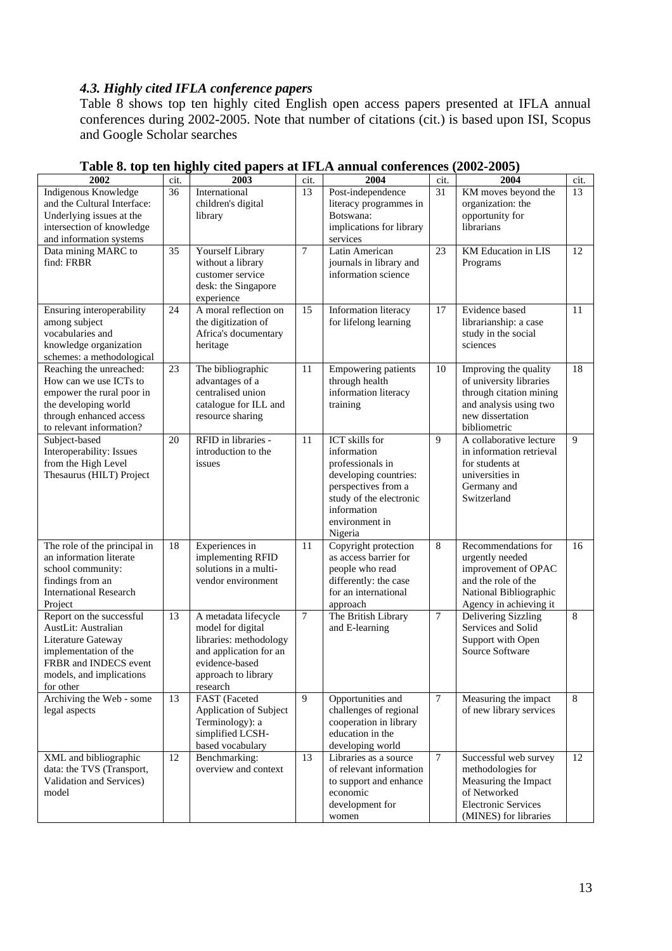# *4.3. Highly cited IFLA conference papers*

Table 8 shows top ten highly cited English open access papers presented at IFLA annual conferences during 2002-2005. Note that number of citations (cit.) is based upon ISI, Scopus and Google Scholar searches

| 2002                                                                                                                                                             | cit.            | 2003                                                                                                                                               | cit.           | 2004                                                                                                                                                                     | cit.             | 2004                                                                                                                                      | cit. |
|------------------------------------------------------------------------------------------------------------------------------------------------------------------|-----------------|----------------------------------------------------------------------------------------------------------------------------------------------------|----------------|--------------------------------------------------------------------------------------------------------------------------------------------------------------------------|------------------|-------------------------------------------------------------------------------------------------------------------------------------------|------|
| Indigenous Knowledge<br>and the Cultural Interface:<br>Underlying issues at the<br>intersection of knowledge<br>and information systems                          | 36              | International<br>children's digital<br>library                                                                                                     | 13             | Post-independence<br>literacy programmes in<br>Botswana:<br>implications for library<br>services                                                                         | 31               | KM moves beyond the<br>organization: the<br>opportunity for<br>librarians                                                                 | 13   |
| Data mining MARC to<br>find: FRBR                                                                                                                                | $\overline{35}$ | Yourself Library<br>without a library<br>customer service<br>desk: the Singapore<br>experience                                                     | $\tau$         | Latin American<br>journals in library and<br>information science                                                                                                         | 23               | KM Education in LIS<br>Programs                                                                                                           | 12   |
| Ensuring interoperability<br>among subject<br>vocabularies and<br>knowledge organization<br>schemes: a methodological                                            | 24              | A moral reflection on<br>the digitization of<br>Africa's documentary<br>heritage                                                                   | 15             | Information literacy<br>for lifelong learning                                                                                                                            | 17               | Evidence based<br>librarianship: a case<br>study in the social<br>sciences                                                                | 11   |
| Reaching the unreached:<br>How can we use ICTs to<br>empower the rural poor in<br>the developing world<br>through enhanced access<br>to relevant information?    | $23\,$          | The bibliographic<br>advantages of a<br>centralised union<br>catalogue for ILL and<br>resource sharing                                             | 11             | <b>Empowering patients</b><br>through health<br>information literacy<br>training                                                                                         | 10               | Improving the quality<br>of university libraries<br>through citation mining<br>and analysis using two<br>new dissertation<br>bibliometric | 18   |
| Subject-based<br>Interoperability: Issues<br>from the High Level<br>Thesaurus (HILT) Project                                                                     | 20              | RFID in libraries -<br>introduction to the<br>issues                                                                                               | 11             | ICT skills for<br>information<br>professionals in<br>developing countries:<br>perspectives from a<br>study of the electronic<br>information<br>environment in<br>Nigeria | $\mathbf{Q}$     | A collaborative lecture<br>in information retrieval<br>for students at<br>universities in<br>Germany and<br>Switzerland                   | 9    |
| The role of the principal in<br>an information literate<br>school community:<br>findings from an<br><b>International Research</b><br>Project                     | 18              | Experiences in<br>implementing RFID<br>solutions in a multi-<br>vendor environment                                                                 | 11             | Copyright protection<br>as access barrier for<br>people who read<br>differently: the case<br>for an international<br>approach                                            | 8                | Recommendations for<br>urgently needed<br>improvement of OPAC<br>and the role of the<br>National Bibliographic<br>Agency in achieving it  | 16   |
| Report on the successful<br>AustLit: Australian<br>Literature Gateway<br>implementation of the<br>FRBR and INDECS event<br>models, and implications<br>for other | 13              | A metadata lifecycle<br>model for digital<br>libraries: methodology<br>and application for an<br>evidence-based<br>approach to library<br>research | $\overline{7}$ | The British Library<br>and E-learning                                                                                                                                    | $\boldsymbol{7}$ | Delivering Sizzling<br>Services and Solid<br>Support with Open<br>Source Software                                                         | 8    |
| Archiving the Web - some<br>legal aspects                                                                                                                        | 13              | FAST (Faceted<br>Application of Subject<br>Terminology): a<br>simplified LCSH-<br>based vocabulary                                                 | 9              | Opportunities and<br>challenges of regional<br>cooperation in library<br>education in the<br>developing world                                                            | $\tau$           | Measuring the impact<br>of new library services                                                                                           | 8    |
| XML and bibliographic<br>data: the TVS (Transport,<br>Validation and Services)<br>model                                                                          | 12              | Benchmarking:<br>overview and context                                                                                                              | 13             | Libraries as a source<br>of relevant information<br>to support and enhance<br>economic<br>development for<br>women                                                       | $\tau$           | Successful web survey<br>methodologies for<br>Measuring the Impact<br>of Networked<br><b>Electronic Services</b><br>(MINES) for libraries | 12   |

## **Table 8. top ten highly cited papers at IFLA annual conferences (2002-2005)**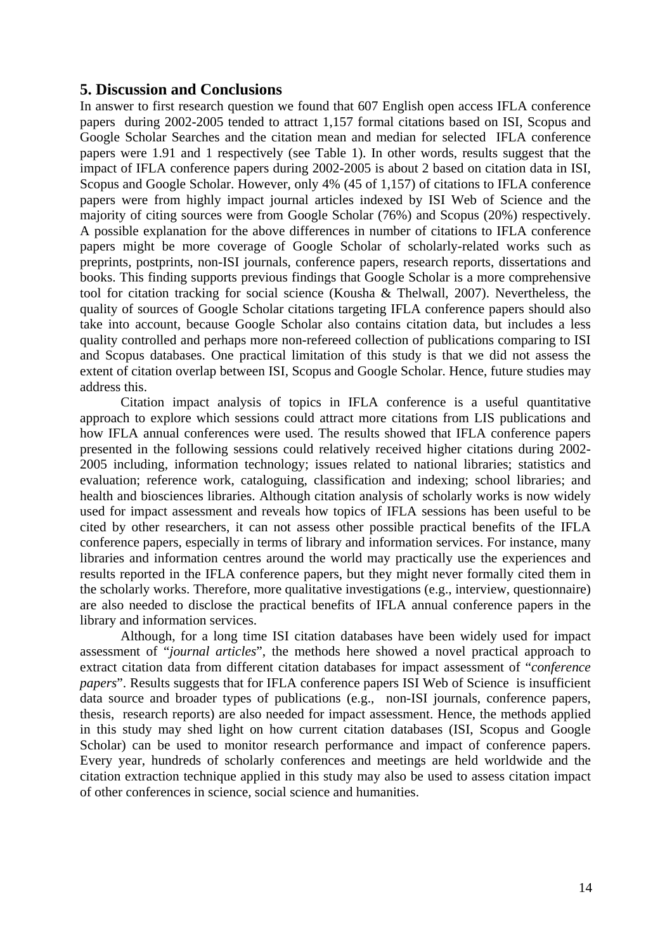### **5. Discussion and Conclusions**

In answer to first research question we found that 607 English open access IFLA conference papers during 2002-2005 tended to attract 1,157 formal citations based on ISI, Scopus and Google Scholar Searches and the citation mean and median for selected IFLA conference papers were 1.91 and 1 respectively (see Table 1). In other words, results suggest that the impact of IFLA conference papers during 2002-2005 is about 2 based on citation data in ISI, Scopus and Google Scholar. However, only 4% (45 of 1,157) of citations to IFLA conference papers were from highly impact journal articles indexed by ISI Web of Science and the majority of citing sources were from Google Scholar (76%) and Scopus (20%) respectively. A possible explanation for the above differences in number of citations to IFLA conference papers might be more coverage of Google Scholar of scholarly-related works such as preprints, postprints, non-ISI journals, conference papers, research reports, dissertations and books. This finding supports previous findings that Google Scholar is a more comprehensive tool for citation tracking for social science (Kousha & Thelwall, 2007). Nevertheless, the quality of sources of Google Scholar citations targeting IFLA conference papers should also take into account, because Google Scholar also contains citation data, but includes a less quality controlled and perhaps more non-refereed collection of publications comparing to ISI and Scopus databases. One practical limitation of this study is that we did not assess the extent of citation overlap between ISI, Scopus and Google Scholar. Hence, future studies may address this.

Citation impact analysis of topics in IFLA conference is a useful quantitative approach to explore which sessions could attract more citations from LIS publications and how IFLA annual conferences were used. The results showed that IFLA conference papers presented in the following sessions could relatively received higher citations during 2002- 2005 including, information technology; issues related to national libraries; statistics and evaluation; reference work, cataloguing, classification and indexing; school libraries; and health and biosciences libraries. Although citation analysis of scholarly works is now widely used for impact assessment and reveals how topics of IFLA sessions has been useful to be cited by other researchers, it can not assess other possible practical benefits of the IFLA conference papers, especially in terms of library and information services. For instance, many libraries and information centres around the world may practically use the experiences and results reported in the IFLA conference papers, but they might never formally cited them in the scholarly works. Therefore, more qualitative investigations (e.g., interview, questionnaire) are also needed to disclose the practical benefits of IFLA annual conference papers in the library and information services.

Although, for a long time ISI citation databases have been widely used for impact assessment of "*journal articles*", the methods here showed a novel practical approach to extract citation data from different citation databases for impact assessment of "*conference papers*". Results suggests that for IFLA conference papers ISI Web of Science is insufficient data source and broader types of publications (e.g., non-ISI journals, conference papers, thesis, research reports) are also needed for impact assessment. Hence, the methods applied in this study may shed light on how current citation databases (ISI, Scopus and Google Scholar) can be used to monitor research performance and impact of conference papers. Every year, hundreds of scholarly conferences and meetings are held worldwide and the citation extraction technique applied in this study may also be used to assess citation impact of other conferences in science, social science and humanities.